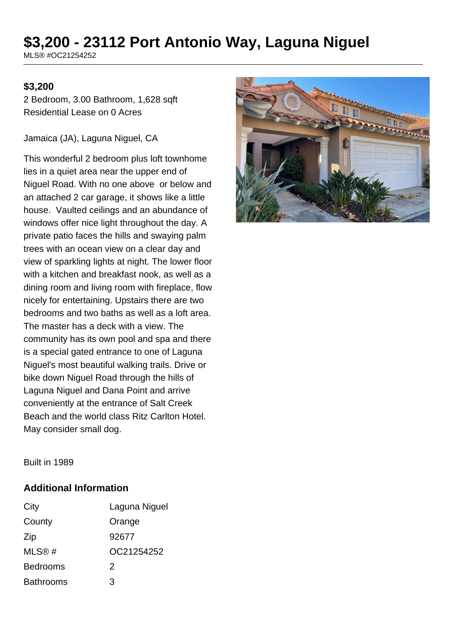## **\$3,200 - 23112 Port Antonio Way, Laguna Niguel**

MLS® #OC21254252

## **\$3,200**

2 Bedroom, 3.00 Bathroom, 1,628 sqft Residential Lease on 0 Acres

Jamaica (JA), Laguna Niguel, CA

This wonderful 2 bedroom plus loft townhome lies in a quiet area near the upper end of Niguel Road. With no one above or below and an attached 2 car garage, it shows like a little house. Vaulted ceilings and an abundance of windows offer nice light throughout the day. A private patio faces the hills and swaying palm trees with an ocean view on a clear day and view of sparkling lights at night. The lower floor with a kitchen and breakfast nook, as well as a dining room and living room with fireplace, flow nicely for entertaining. Upstairs there are two bedrooms and two baths as well as a loft area. The master has a deck with a view. The community has its own pool and spa and there is a special gated entrance to one of Laguna Niguel's most beautiful walking trails. Drive or bike down Niguel Road through the hills of Laguna Niguel and Dana Point and arrive conveniently at the entrance of Salt Creek Beach and the world class Ritz Carlton Hotel. May consider small dog.



Built in 1989

## **Additional Information**

| City             | Laguna Niguel |
|------------------|---------------|
| County           | Orange        |
| Zip              | 92677         |
| MLS@#            | OC21254252    |
| <b>Bedrooms</b>  | 2             |
| <b>Bathrooms</b> | 3             |